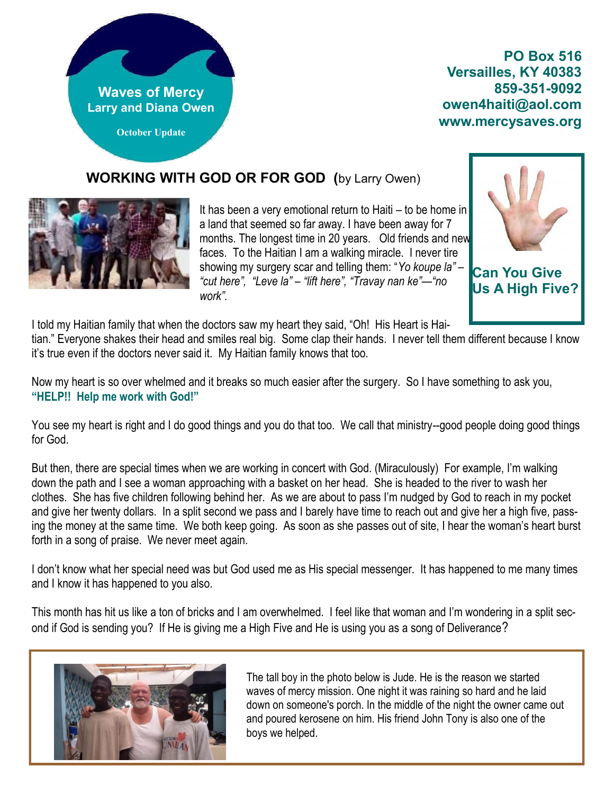

**PO Box 516 Versailles, KY 40383 859-351-9092 owen4haiti@aol.com www.mercysaves.org**

## **WORKING WITH GOD OR FOR GOD (**by Larry Owen)



It has been a very emotional return to Haiti – to be home in a land that seemed so far away. I have been away for 7 months. The longest time in 20 years. Old friends and new faces. To the Haitian I am a walking miracle. I never tire showing my surgery scar and telling them: "*Yo koupe la*" – "cut here", "Leve la" – "lift here", "Travay nan ke"—"no *work‖.*



**Can You Give Us A High Five?**

I told my Haitian family that when the doctors saw my heart they said, "Oh! His Heart is Hai-

tian." Everyone shakes their head and smiles real big. Some clap their hands. I never tell them different because I know it's true even if the doctors never said it. My Haitian family knows that too.

Now my heart is so over whelmed and it breaks so much easier after the surgery. So I have something to ask you, **"HELP!! Help me work with God!"**

You see my heart is right and I do good things and you do that too. We call that ministry--good people doing good things for God.

But then, there are special times when we are working in concert with God. (Miraculously) For example, I'm walking down the path and I see a woman approaching with a basket on her head. She is headed to the river to wash her clothes. She has five children following behind her. As we are about to pass I'm nudged by God to reach in my pocket and give her twenty dollars. In a split second we pass and I barely have time to reach out and give her a high five, passing the money at the same time. We both keep going. As soon as she passes out of site, I hear the woman's heart burst forth in a song of praise. We never meet again.

I don't know what her special need was but God used me as His special messenger. It has happened to me many times and I know it has happened to you also.

This month has hit us like a ton of bricks and I am overwhelmed. I feel like that woman and I'm wondering in a split second if God is sending you? If He is giving me a High Five and He is using you as a song of Deliverance?



The tall boy in the photo below is Jude. He is the reason we started waves of mercy mission. One night it was raining so hard and he laid down on someone's porch. In the middle of the night the owner came out and poured kerosene on him. His friend John Tony is also one of the boys we helped.